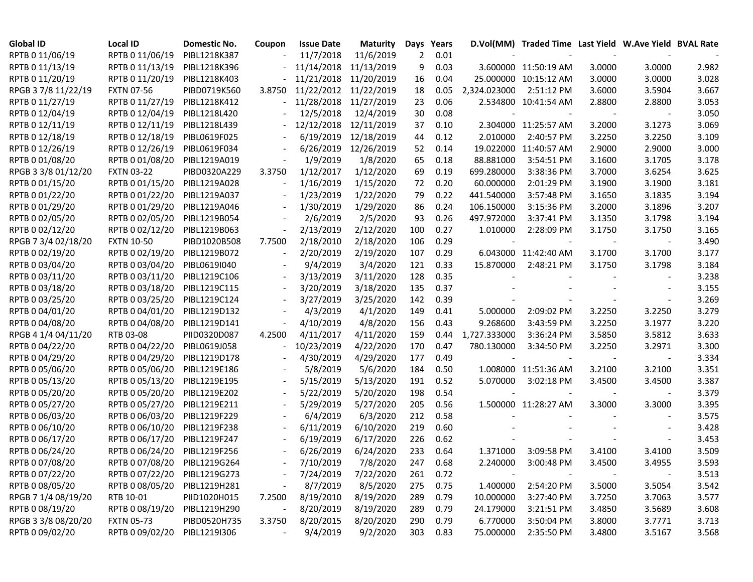| <b>Global ID</b>    | <b>Local ID</b>   | Domestic No. | Coupon                   | <b>Issue Date</b> | <b>Maturity</b> | Days | Years |              | D.Vol(MM) Traded Time Last Yield W.Ave Yield BVAL Rate |        |        |       |
|---------------------|-------------------|--------------|--------------------------|-------------------|-----------------|------|-------|--------------|--------------------------------------------------------|--------|--------|-------|
| RPTB 0 11/06/19     | RPTB 0 11/06/19   | PIBL1218K387 |                          | 11/7/2018         | 11/6/2019       | 2    | 0.01  |              |                                                        |        |        |       |
| RPTB 0 11/13/19     | RPTB 0 11/13/19   | PIBL1218K396 |                          | 11/14/2018        | 11/13/2019      | 9    | 0.03  |              | 3.600000 11:50:19 AM                                   | 3.0000 | 3.0000 | 2.982 |
| RPTB 0 11/20/19     | RPTB 0 11/20/19   | PIBL1218K403 |                          | 11/21/2018        | 11/20/2019      | 16   | 0.04  |              | 25.000000 10:15:12 AM                                  | 3.0000 | 3.0000 | 3.028 |
| RPGB 3 7/8 11/22/19 | <b>FXTN 07-56</b> | PIBD0719K560 | 3.8750                   | 11/22/2012        | 11/22/2019      | 18   | 0.05  | 2,324.023000 | 2:51:12 PM                                             | 3.6000 | 3.5904 | 3.667 |
| RPTB 0 11/27/19     | RPTB 0 11/27/19   | PIBL1218K412 |                          | 11/28/2018        | 11/27/2019      | 23   | 0.06  |              | 2.534800 10:41:54 AM                                   | 2.8800 | 2.8800 | 3.053 |
| RPTB 0 12/04/19     | RPTB 0 12/04/19   | PIBL1218L420 |                          | 12/5/2018         | 12/4/2019       | 30   | 0.08  |              |                                                        |        |        | 3.050 |
| RPTB 0 12/11/19     | RPTB 0 12/11/19   | PIBL1218L439 |                          | 12/12/2018        | 12/11/2019      | 37   | 0.10  |              | 2.304000 11:25:57 AM                                   | 3.2000 | 3.1273 | 3.069 |
| RPTB 0 12/18/19     | RPTB 0 12/18/19   | PIBL0619F025 |                          | 6/19/2019         | 12/18/2019      | 44   | 0.12  | 2.010000     | 2:40:57 PM                                             | 3.2250 | 3.2250 | 3.109 |
| RPTB 0 12/26/19     | RPTB 0 12/26/19   | PIBL0619F034 |                          | 6/26/2019         | 12/26/2019      | 52   | 0.14  |              | 19.022000 11:40:57 AM                                  | 2.9000 | 2.9000 | 3.000 |
| RPTB 0 01/08/20     | RPTB 0 01/08/20   | PIBL1219A019 |                          | 1/9/2019          | 1/8/2020        | 65   | 0.18  | 88.881000    | 3:54:51 PM                                             | 3.1600 | 3.1705 | 3.178 |
| RPGB 3 3/8 01/12/20 | <b>FXTN 03-22</b> | PIBD0320A229 | 3.3750                   | 1/12/2017         | 1/12/2020       | 69   | 0.19  | 699.280000   | 3:38:36 PM                                             | 3.7000 | 3.6254 | 3.625 |
| RPTB 0 01/15/20     | RPTB 0 01/15/20   | PIBL1219A028 |                          | 1/16/2019         | 1/15/2020       | 72   | 0.20  | 60.000000    | 2:01:29 PM                                             | 3.1900 | 3.1900 | 3.181 |
| RPTB 0 01/22/20     | RPTB 0 01/22/20   | PIBL1219A037 |                          | 1/23/2019         | 1/22/2020       | 79   | 0.22  | 441.540000   | 3:57:48 PM                                             | 3.1650 | 3.1835 | 3.194 |
| RPTB 0 01/29/20     | RPTB 0 01/29/20   | PIBL1219A046 |                          | 1/30/2019         | 1/29/2020       | 86   | 0.24  | 106.150000   | 3:15:36 PM                                             | 3.2000 | 3.1896 | 3.207 |
| RPTB 0 02/05/20     | RPTB 0 02/05/20   | PIBL1219B054 |                          | 2/6/2019          | 2/5/2020        | 93   | 0.26  | 497.972000   | 3:37:41 PM                                             | 3.1350 | 3.1798 | 3.194 |
| RPTB 0 02/12/20     | RPTB 0 02/12/20   | PIBL1219B063 | $\overline{\phantom{a}}$ | 2/13/2019         | 2/12/2020       | 100  | 0.27  | 1.010000     | 2:28:09 PM                                             | 3.1750 | 3.1750 | 3.165 |
| RPGB 7 3/4 02/18/20 | <b>FXTN 10-50</b> | PIBD1020B508 | 7.7500                   | 2/18/2010         | 2/18/2020       | 106  | 0.29  |              |                                                        |        |        | 3.490 |
| RPTB 0 02/19/20     | RPTB 0 02/19/20   | PIBL1219B072 |                          | 2/20/2019         | 2/19/2020       | 107  | 0.29  |              | 6.043000 11:42:40 AM                                   | 3.1700 | 3.1700 | 3.177 |
| RPTB 0 03/04/20     | RPTB 0 03/04/20   | PIBL0619I040 |                          | 9/4/2019          | 3/4/2020        | 121  | 0.33  | 15.870000    | 2:48:21 PM                                             | 3.1750 | 3.1798 | 3.184 |
| RPTB 0 03/11/20     | RPTB 0 03/11/20   | PIBL1219C106 |                          | 3/13/2019         | 3/11/2020       | 128  | 0.35  |              |                                                        |        |        | 3.238 |
| RPTB 0 03/18/20     | RPTB 0 03/18/20   | PIBL1219C115 |                          | 3/20/2019         | 3/18/2020       | 135  | 0.37  |              |                                                        |        |        | 3.155 |
| RPTB 0 03/25/20     | RPTB 0 03/25/20   | PIBL1219C124 |                          | 3/27/2019         | 3/25/2020       | 142  | 0.39  |              |                                                        |        |        | 3.269 |
| RPTB 0 04/01/20     | RPTB 0 04/01/20   | PIBL1219D132 |                          | 4/3/2019          | 4/1/2020        | 149  | 0.41  | 5.000000     | 2:09:02 PM                                             | 3.2250 | 3.2250 | 3.279 |
| RPTB 0 04/08/20     | RPTB 0 04/08/20   | PIBL1219D141 |                          | 4/10/2019         | 4/8/2020        | 156  | 0.43  | 9.268600     | 3:43:59 PM                                             | 3.2250 | 3.1977 | 3.220 |
| RPGB 4 1/4 04/11/20 | RTB 03-08         | PIID0320D087 | 4.2500                   | 4/11/2017         | 4/11/2020       | 159  | 0.44  | 1,727.333000 | 3:36:24 PM                                             | 3.5850 | 3.5812 | 3.633 |
| RPTB 0 04/22/20     | RPTB 0 04/22/20   | PIBL0619J058 |                          | 10/23/2019        | 4/22/2020       | 170  | 0.47  | 780.130000   | 3:34:50 PM                                             | 3.2250 | 3.2971 | 3.300 |
| RPTB 0 04/29/20     | RPTB 0 04/29/20   | PIBL1219D178 |                          | 4/30/2019         | 4/29/2020       | 177  | 0.49  |              |                                                        |        |        | 3.334 |
| RPTB 0 05/06/20     | RPTB 0 05/06/20   | PIBL1219E186 |                          | 5/8/2019          | 5/6/2020        | 184  | 0.50  |              | 1.008000 11:51:36 AM                                   | 3.2100 | 3.2100 | 3.351 |
| RPTB 0 05/13/20     | RPTB 0 05/13/20   | PIBL1219E195 |                          | 5/15/2019         | 5/13/2020       | 191  | 0.52  | 5.070000     | 3:02:18 PM                                             | 3.4500 | 3.4500 | 3.387 |
| RPTB 0 05/20/20     | RPTB 0 05/20/20   | PIBL1219E202 |                          | 5/22/2019         | 5/20/2020       | 198  | 0.54  |              |                                                        |        |        | 3.379 |
| RPTB 0 05/27/20     | RPTB 0 05/27/20   | PIBL1219E211 |                          | 5/29/2019         | 5/27/2020       | 205  | 0.56  |              | 1.500000 11:28:27 AM                                   | 3.3000 | 3.3000 | 3.395 |
| RPTB 0 06/03/20     | RPTB 0 06/03/20   | PIBL1219F229 |                          | 6/4/2019          | 6/3/2020        | 212  | 0.58  |              |                                                        |        |        | 3.575 |
| RPTB 0 06/10/20     | RPTB 0 06/10/20   | PIBL1219F238 |                          | 6/11/2019         | 6/10/2020       | 219  | 0.60  |              |                                                        |        |        | 3.428 |
| RPTB 0 06/17/20     | RPTB 0 06/17/20   | PIBL1219F247 |                          | 6/19/2019         | 6/17/2020       | 226  | 0.62  |              |                                                        |        |        | 3.453 |
| RPTB 0 06/24/20     | RPTB 0 06/24/20   | PIBL1219F256 |                          | 6/26/2019         | 6/24/2020       | 233  | 0.64  | 1.371000     | 3:09:58 PM                                             | 3.4100 | 3.4100 | 3.509 |
| RPTB 0 07/08/20     | RPTB 0 07/08/20   | PIBL1219G264 |                          | 7/10/2019         | 7/8/2020        | 247  | 0.68  | 2.240000     | 3:00:48 PM                                             | 3.4500 | 3.4955 | 3.593 |
| RPTB 0 07/22/20     | RPTB 0 07/22/20   | PIBL1219G273 |                          | 7/24/2019         | 7/22/2020       | 261  | 0.72  |              |                                                        |        |        | 3.513 |
| RPTB 0 08/05/20     | RPTB 0 08/05/20   | PIBL1219H281 |                          | 8/7/2019          | 8/5/2020        | 275  | 0.75  | 1.400000     | 2:54:20 PM                                             | 3.5000 | 3.5054 | 3.542 |
| RPGB 7 1/4 08/19/20 | RTB 10-01         | PIID1020H015 | 7.2500                   | 8/19/2010         | 8/19/2020       | 289  | 0.79  | 10.000000    | 3:27:40 PM                                             | 3.7250 | 3.7063 | 3.577 |
| RPTB 0 08/19/20     | RPTB 0 08/19/20   | PIBL1219H290 |                          | 8/20/2019         | 8/19/2020       | 289  | 0.79  | 24.179000    | 3:21:51 PM                                             | 3.4850 | 3.5689 | 3.608 |
| RPGB 3 3/8 08/20/20 | <b>FXTN 05-73</b> | PIBD0520H735 | 3.3750                   | 8/20/2015         | 8/20/2020       | 290  | 0.79  | 6.770000     | 3:50:04 PM                                             | 3.8000 | 3.7771 | 3.713 |
| RPTB 0 09/02/20     | RPTB 0 09/02/20   | PIBL1219I306 |                          | 9/4/2019          | 9/2/2020        | 303  | 0.83  | 75.000000    | 2:35:50 PM                                             | 3.4800 | 3.5167 | 3.568 |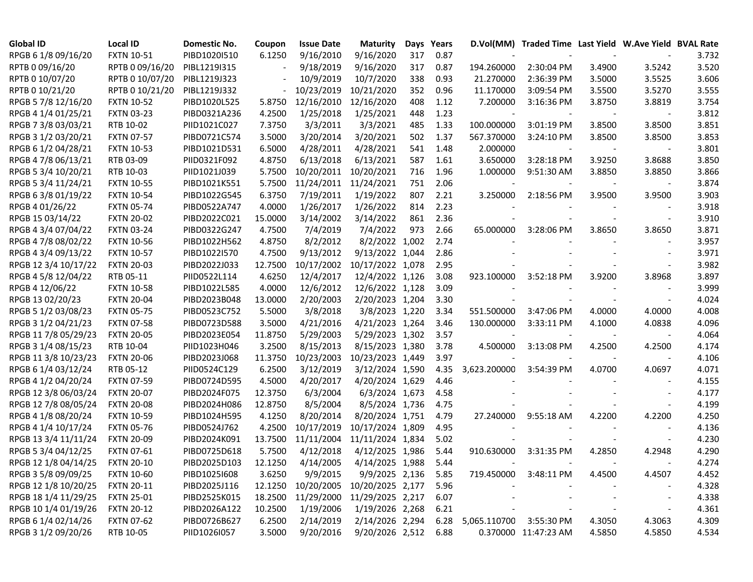| <b>Global ID</b>     | <b>Local ID</b>   | Domestic No. | Coupon  | <b>Issue Date</b> | <b>Maturity</b>  |     | Days Years |                         | D.Vol(MM) Traded Time Last Yield W.Ave Yield BVAL Rate |        |                          |       |
|----------------------|-------------------|--------------|---------|-------------------|------------------|-----|------------|-------------------------|--------------------------------------------------------|--------|--------------------------|-------|
| RPGB 6 1/8 09/16/20  | <b>FXTN 10-51</b> | PIBD1020I510 | 6.1250  | 9/16/2010         | 9/16/2020        | 317 | 0.87       |                         |                                                        |        |                          | 3.732 |
| RPTB 0 09/16/20      | RPTB 0 09/16/20   | PIBL1219I315 |         | 9/18/2019         | 9/16/2020        | 317 | 0.87       | 194.260000              | 2:30:04 PM                                             | 3.4900 | 3.5242                   | 3.520 |
| RPTB 0 10/07/20      | RPTB 0 10/07/20   | PIBL1219J323 |         | 10/9/2019         | 10/7/2020        | 338 | 0.93       | 21.270000               | 2:36:39 PM                                             | 3.5000 | 3.5525                   | 3.606 |
| RPTB 0 10/21/20      | RPTB 0 10/21/20   | PIBL1219J332 |         | 10/23/2019        | 10/21/2020       | 352 | 0.96       | 11.170000               | 3:09:54 PM                                             | 3.5500 | 3.5270                   | 3.555 |
| RPGB 5 7/8 12/16/20  | <b>FXTN 10-52</b> | PIBD1020L525 | 5.8750  | 12/16/2010        | 12/16/2020       | 408 | 1.12       | 7.200000                | 3:16:36 PM                                             | 3.8750 | 3.8819                   | 3.754 |
| RPGB 4 1/4 01/25/21  | <b>FXTN 03-23</b> | PIBD0321A236 | 4.2500  | 1/25/2018         | 1/25/2021        | 448 | 1.23       |                         |                                                        |        |                          | 3.812 |
| RPGB 7 3/8 03/03/21  | RTB 10-02         | PIID1021C027 | 7.3750  | 3/3/2011          | 3/3/2021         | 485 | 1.33       | 100.000000              | 3:01:19 PM                                             | 3.8500 | 3.8500                   | 3.851 |
| RPGB 3 1/2 03/20/21  | <b>FXTN 07-57</b> | PIBD0721C574 | 3.5000  | 3/20/2014         | 3/20/2021        | 502 | 1.37       | 567.370000              | 3:24:10 PM                                             | 3.8500 | 3.8500                   | 3.853 |
| RPGB 6 1/2 04/28/21  | <b>FXTN 10-53</b> | PIBD1021D531 | 6.5000  | 4/28/2011         | 4/28/2021        | 541 | 1.48       | 2.000000                |                                                        |        |                          | 3.801 |
| RPGB 4 7/8 06/13/21  | RTB 03-09         | PIID0321F092 | 4.8750  | 6/13/2018         | 6/13/2021        | 587 | 1.61       | 3.650000                | 3:28:18 PM                                             | 3.9250 | 3.8688                   | 3.850 |
| RPGB 5 3/4 10/20/21  | RTB 10-03         | PIID1021J039 | 5.7500  | 10/20/2011        | 10/20/2021       | 716 | 1.96       | 1.000000                | 9:51:30 AM                                             | 3.8850 | 3.8850                   | 3.866 |
| RPGB 5 3/4 11/24/21  | <b>FXTN 10-55</b> | PIBD1021K551 | 5.7500  | 11/24/2011        | 11/24/2021       | 751 | 2.06       |                         |                                                        |        |                          | 3.874 |
| RPGB 63/8 01/19/22   | <b>FXTN 10-54</b> | PIBD1022G545 | 6.3750  | 7/19/2011         | 1/19/2022        | 807 | 2.21       | 3.250000                | 2:18:56 PM                                             | 3.9500 | 3.9500                   | 3.903 |
| RPGB 4 01/26/22      | <b>FXTN 05-74</b> | PIBD0522A747 | 4.0000  | 1/26/2017         | 1/26/2022        | 814 | 2.23       |                         |                                                        |        |                          | 3.918 |
| RPGB 15 03/14/22     | <b>FXTN 20-02</b> | PIBD2022C021 | 15.0000 | 3/14/2002         | 3/14/2022        | 861 | 2.36       |                         |                                                        |        |                          | 3.910 |
| RPGB 4 3/4 07/04/22  | <b>FXTN 03-24</b> | PIBD0322G247 | 4.7500  | 7/4/2019          | 7/4/2022         | 973 | 2.66       | 65.000000               | 3:28:06 PM                                             | 3.8650 | 3.8650                   | 3.871 |
| RPGB 4 7/8 08/02/22  | <b>FXTN 10-56</b> | PIBD1022H562 | 4.8750  | 8/2/2012          | 8/2/2022 1,002   |     | 2.74       |                         |                                                        |        |                          | 3.957 |
| RPGB 4 3/4 09/13/22  | <b>FXTN 10-57</b> | PIBD1022I570 | 4.7500  | 9/13/2012         | 9/13/2022 1,044  |     | 2.86       |                         |                                                        |        |                          | 3.971 |
| RPGB 12 3/4 10/17/22 | <b>FXTN 20-03</b> | PIBD2022J033 | 12.7500 | 10/17/2002        | 10/17/2022 1,078 |     | 2.95       |                         |                                                        |        |                          | 3.982 |
| RPGB 4 5/8 12/04/22  | RTB 05-11         | PIID0522L114 | 4.6250  | 12/4/2017         | 12/4/2022 1,126  |     | 3.08       | 923.100000              | 3:52:18 PM                                             | 3.9200 | 3.8968                   | 3.897 |
| RPGB 4 12/06/22      | <b>FXTN 10-58</b> | PIBD1022L585 | 4.0000  | 12/6/2012         | 12/6/2022 1,128  |     | 3.09       |                         |                                                        |        |                          | 3.999 |
| RPGB 13 02/20/23     | <b>FXTN 20-04</b> | PIBD2023B048 | 13.0000 | 2/20/2003         | 2/20/2023 1,204  |     | 3.30       |                         |                                                        |        |                          | 4.024 |
| RPGB 5 1/2 03/08/23  | <b>FXTN 05-75</b> | PIBD0523C752 | 5.5000  | 3/8/2018          | 3/8/2023 1,220   |     | 3.34       | 551.500000              | 3:47:06 PM                                             | 4.0000 | 4.0000                   | 4.008 |
| RPGB 3 1/2 04/21/23  | <b>FXTN 07-58</b> | PIBD0723D588 | 3.5000  | 4/21/2016         | 4/21/2023 1,264  |     | 3.46       | 130.000000              | 3:33:11 PM                                             | 4.1000 | 4.0838                   | 4.096 |
| RPGB 11 7/8 05/29/23 | <b>FXTN 20-05</b> | PIBD2023E054 | 11.8750 | 5/29/2003         | 5/29/2023 1,302  |     | 3.57       |                         |                                                        |        |                          | 4.064 |
| RPGB 3 1/4 08/15/23  | RTB 10-04         | PIID1023H046 | 3.2500  | 8/15/2013         | 8/15/2023 1,380  |     | 3.78       | 4.500000                | 3:13:08 PM                                             | 4.2500 | 4.2500                   | 4.174 |
| RPGB 11 3/8 10/23/23 | <b>FXTN 20-06</b> | PIBD2023J068 | 11.3750 | 10/23/2003        | 10/23/2023 1,449 |     | 3.97       |                         |                                                        |        |                          | 4.106 |
| RPGB 6 1/4 03/12/24  | RTB 05-12         | PIID0524C129 | 6.2500  | 3/12/2019         | 3/12/2024 1,590  |     | 4.35       | 3,623.200000            | 3:54:39 PM                                             | 4.0700 | 4.0697                   | 4.071 |
| RPGB 4 1/2 04/20/24  | <b>FXTN 07-59</b> | PIBD0724D595 | 4.5000  | 4/20/2017         | 4/20/2024 1,629  |     | 4.46       |                         |                                                        |        |                          | 4.155 |
| RPGB 12 3/8 06/03/24 | <b>FXTN 20-07</b> | PIBD2024F075 | 12.3750 | 6/3/2004          | 6/3/2024 1,673   |     | 4.58       |                         |                                                        |        |                          | 4.177 |
| RPGB 12 7/8 08/05/24 | <b>FXTN 20-08</b> | PIBD2024H086 | 12.8750 | 8/5/2004          | 8/5/2024 1,736   |     | 4.75       |                         |                                                        |        |                          | 4.199 |
| RPGB 4 1/8 08/20/24  | <b>FXTN 10-59</b> | PIBD1024H595 | 4.1250  | 8/20/2014         | 8/20/2024 1,751  |     | 4.79       | 27.240000               | 9:55:18 AM                                             | 4.2200 | 4.2200                   | 4.250 |
| RPGB 4 1/4 10/17/24  | <b>FXTN 05-76</b> | PIBD0524J762 | 4.2500  | 10/17/2019        | 10/17/2024 1,809 |     | 4.95       |                         |                                                        |        |                          | 4.136 |
| RPGB 13 3/4 11/11/24 | <b>FXTN 20-09</b> | PIBD2024K091 | 13.7500 | 11/11/2004        | 11/11/2024 1,834 |     | 5.02       |                         |                                                        |        |                          | 4.230 |
| RPGB 5 3/4 04/12/25  | <b>FXTN 07-61</b> | PIBD0725D618 | 5.7500  | 4/12/2018         | 4/12/2025 1,986  |     | 5.44       | 910.630000              | 3:31:35 PM                                             | 4.2850 | 4.2948                   | 4.290 |
| RPGB 12 1/8 04/14/25 | <b>FXTN 20-10</b> | PIBD2025D103 | 12.1250 | 4/14/2005         | 4/14/2025 1,988  |     | 5.44       |                         |                                                        |        |                          | 4.274 |
| RPGB 3 5/8 09/09/25  | <b>FXTN 10-60</b> | PIBD10251608 | 3.6250  | 9/9/2015          | 9/9/2025 2,136   |     | 5.85       | 719.450000              | 3:48:11 PM                                             | 4.4500 | 4.4507                   | 4.452 |
| RPGB 12 1/8 10/20/25 | <b>FXTN 20-11</b> | PIBD2025J116 | 12.1250 | 10/20/2005        | 10/20/2025 2,177 |     | 5.96       |                         |                                                        |        |                          | 4.328 |
| RPGB 18 1/4 11/29/25 | <b>FXTN 25-01</b> | PIBD2525K015 | 18.2500 | 11/29/2000        | 11/29/2025 2,217 |     | 6.07       |                         |                                                        |        | $\overline{\phantom{a}}$ | 4.338 |
| RPGB 10 1/4 01/19/26 | <b>FXTN 20-12</b> | PIBD2026A122 | 10.2500 | 1/19/2006         | 1/19/2026 2,268  |     | 6.21       |                         |                                                        |        |                          | 4.361 |
| RPGB 6 1/4 02/14/26  | <b>FXTN 07-62</b> | PIBD0726B627 | 6.2500  | 2/14/2019         | 2/14/2026 2,294  |     | 6.28       | 5,065.110700 3:55:30 PM |                                                        | 4.3050 | 4.3063                   | 4.309 |
| RPGB 3 1/2 09/20/26  | RTB 10-05         | PIID1026I057 | 3.5000  | 9/20/2016         | 9/20/2026 2,512  |     | 6.88       |                         | 0.370000 11:47:23 AM                                   | 4.5850 | 4.5850                   | 4.534 |